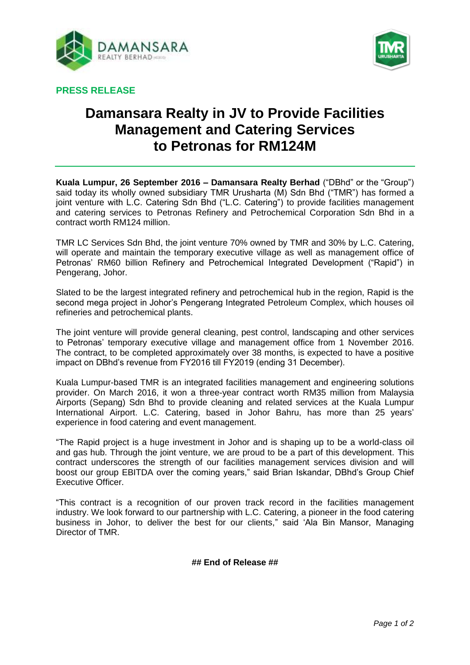



**PRESS RELEASE**

# **Damansara Realty in JV to Provide Facilities Management and Catering Services to Petronas for RM124M**

**Kuala Lumpur, 26 September 2016 – Damansara Realty Berhad** ("DBhd" or the "Group") said today its wholly owned subsidiary TMR Urusharta (M) Sdn Bhd ("TMR") has formed a joint venture with L.C. Catering Sdn Bhd ("L.C. Catering") to provide facilities management and catering services to Petronas Refinery and Petrochemical Corporation Sdn Bhd in a contract worth RM124 million.

TMR LC Services Sdn Bhd, the joint venture 70% owned by TMR and 30% by L.C. Catering, will operate and maintain the temporary executive village as well as management office of Petronas' RM60 billion Refinery and Petrochemical Integrated Development ("Rapid") in Pengerang, Johor.

Slated to be the largest integrated refinery and petrochemical hub in the region, Rapid is the second mega project in Johor's Pengerang Integrated Petroleum Complex, which houses oil refineries and petrochemical plants.

The joint venture will provide general cleaning, pest control, landscaping and other services to Petronas' temporary executive village and management office from 1 November 2016. The contract, to be completed approximately over 38 months, is expected to have a positive impact on DBhd's revenue from FY2016 till FY2019 (ending 31 December).

Kuala Lumpur-based TMR is an integrated facilities management and engineering solutions provider. On March 2016, it won a three-year contract worth RM35 million from Malaysia Airports (Sepang) Sdn Bhd to provide cleaning and related services at the Kuala Lumpur International Airport. L.C. Catering, based in Johor Bahru, has more than 25 years' experience in food catering and event management.

"The Rapid project is a huge investment in Johor and is shaping up to be a world-class oil and gas hub. Through the joint venture, we are proud to be a part of this development. This contract underscores the strength of our facilities management services division and will boost our group EBITDA over the coming years," said Brian Iskandar, DBhd's Group Chief Executive Officer.

"This contract is a recognition of our proven track record in the facilities management industry. We look forward to our partnership with L.C. Catering, a pioneer in the food catering business in Johor, to deliver the best for our clients," said 'Ala Bin Mansor, Managing Director of TMR.

### **## End of Release ##**